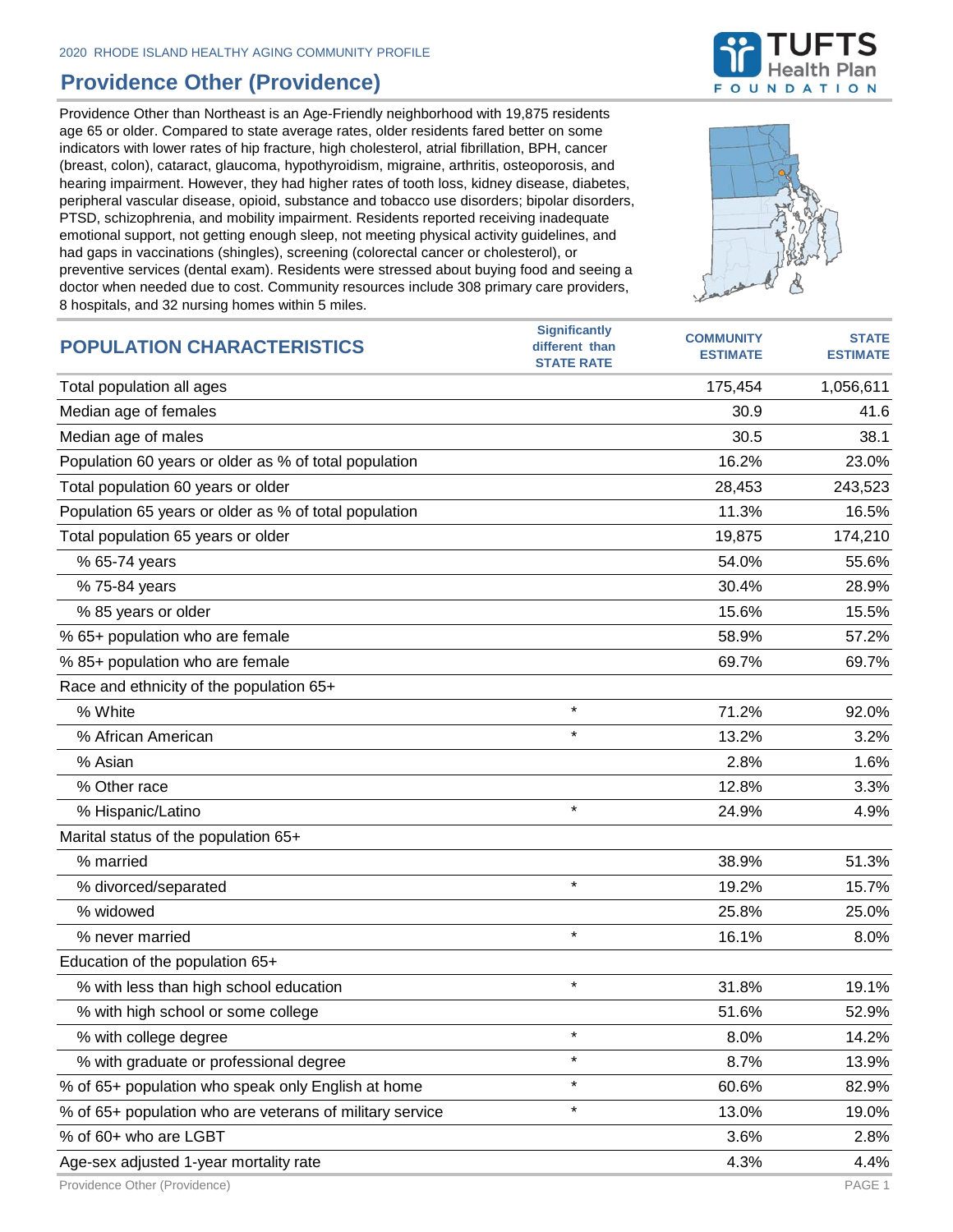## **Providence Other (Providence)**

Providence Other than Northeast is an Age-Friendly neighborhood with 19,875 residents age 65 or older. Compared to state average rates, older residents fared better on some indicators with lower rates of hip fracture, high cholesterol, atrial fibrillation, BPH, cancer (breast, colon), cataract, glaucoma, hypothyroidism, migraine, arthritis, osteoporosis, and hearing impairment. However, they had higher rates of tooth loss, kidney disease, diabetes, peripheral vascular disease, opioid, substance and tobacco use disorders; bipolar disorders, PTSD, schizophrenia, and mobility impairment. Residents reported receiving inadequate emotional support, not getting enough sleep, not meeting physical activity guidelines, and had gaps in vaccinations (shingles), screening (colorectal cancer or cholesterol), or preventive services (dental exam). Residents were stressed about buying food and seeing a doctor when needed due to cost. Community resources include 308 primary care providers, 8 hospitals, and 32 nursing homes within 5 miles.



| <b>POPULATION CHARACTERISTICS</b>                        | <b>Significantly</b><br>different than | <b>COMMUNITY</b> | <b>STATE</b>    |
|----------------------------------------------------------|----------------------------------------|------------------|-----------------|
|                                                          | <b>STATE RATE</b>                      | <b>ESTIMATE</b>  | <b>ESTIMATE</b> |
| Total population all ages                                |                                        | 175,454          | 1,056,611       |
| Median age of females                                    |                                        | 30.9             | 41.6            |
| Median age of males                                      |                                        | 30.5             | 38.1            |
| Population 60 years or older as % of total population    |                                        | 16.2%            | 23.0%           |
| Total population 60 years or older                       |                                        | 28,453           | 243,523         |
| Population 65 years or older as % of total population    |                                        | 11.3%            | 16.5%           |
| Total population 65 years or older                       |                                        | 19,875           | 174,210         |
| % 65-74 years                                            |                                        | 54.0%            | 55.6%           |
| % 75-84 years                                            |                                        | 30.4%            | 28.9%           |
| % 85 years or older                                      |                                        | 15.6%            | 15.5%           |
| % 65+ population who are female                          |                                        | 58.9%            | 57.2%           |
| % 85+ population who are female                          |                                        | 69.7%            | 69.7%           |
| Race and ethnicity of the population 65+                 |                                        |                  |                 |
| % White                                                  | $\star$                                | 71.2%            | 92.0%           |
| % African American                                       | $\star$                                | 13.2%            | 3.2%            |
| % Asian                                                  |                                        | 2.8%             | 1.6%            |
| % Other race                                             |                                        | 12.8%            | 3.3%            |
| % Hispanic/Latino                                        | $\star$                                | 24.9%            | 4.9%            |
| Marital status of the population 65+                     |                                        |                  |                 |
| % married                                                |                                        | 38.9%            | 51.3%           |
| % divorced/separated                                     | $\star$                                | 19.2%            | 15.7%           |
| % widowed                                                |                                        | 25.8%            | 25.0%           |
| % never married                                          | $\star$                                | 16.1%            | 8.0%            |
| Education of the population 65+                          |                                        |                  |                 |
| % with less than high school education                   | $^\star$                               | 31.8%            | 19.1%           |
| % with high school or some college                       |                                        | 51.6%            | 52.9%           |
| % with college degree                                    | $\star$                                | 8.0%             | 14.2%           |
| % with graduate or professional degree                   | $\star$                                | 8.7%             | 13.9%           |
| % of 65+ population who speak only English at home       | $\star$                                | 60.6%            | 82.9%           |
| % of 65+ population who are veterans of military service | $\star$                                | 13.0%            | 19.0%           |
| % of 60+ who are LGBT                                    |                                        | 3.6%             | 2.8%            |
| Age-sex adjusted 1-year mortality rate                   |                                        | 4.3%             | 4.4%            |

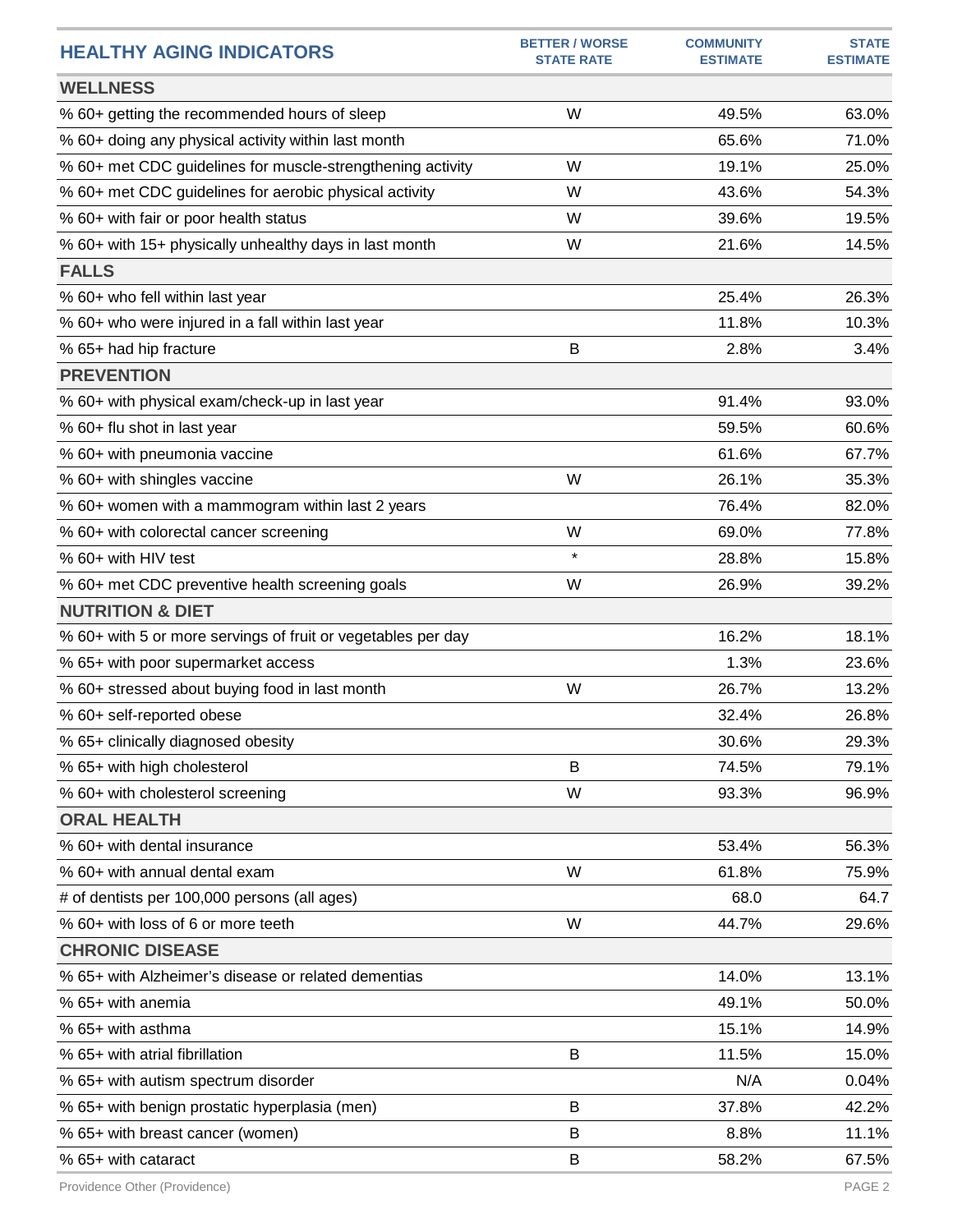| <b>HEALTHY AGING INDICATORS</b>                              | <b>BETTER / WORSE</b><br><b>STATE RATE</b> | <b>COMMUNITY</b><br><b>ESTIMATE</b> | <b>STATE</b><br><b>ESTIMATE</b> |
|--------------------------------------------------------------|--------------------------------------------|-------------------------------------|---------------------------------|
| <b>WELLNESS</b>                                              |                                            |                                     |                                 |
| % 60+ getting the recommended hours of sleep                 | W                                          | 49.5%                               | 63.0%                           |
| % 60+ doing any physical activity within last month          |                                            | 65.6%                               | 71.0%                           |
| % 60+ met CDC guidelines for muscle-strengthening activity   | W                                          | 19.1%                               | 25.0%                           |
| % 60+ met CDC guidelines for aerobic physical activity       | W                                          | 43.6%                               | 54.3%                           |
| % 60+ with fair or poor health status                        | W                                          | 39.6%                               | 19.5%                           |
| % 60+ with 15+ physically unhealthy days in last month       | W                                          | 21.6%                               | 14.5%                           |
| <b>FALLS</b>                                                 |                                            |                                     |                                 |
| % 60+ who fell within last year                              |                                            | 25.4%                               | 26.3%                           |
| % 60+ who were injured in a fall within last year            |                                            | 11.8%                               | 10.3%                           |
| % 65+ had hip fracture                                       | B                                          | 2.8%                                | 3.4%                            |
| <b>PREVENTION</b>                                            |                                            |                                     |                                 |
| % 60+ with physical exam/check-up in last year               |                                            | 91.4%                               | 93.0%                           |
| % 60+ flu shot in last year                                  |                                            | 59.5%                               | 60.6%                           |
| % 60+ with pneumonia vaccine                                 |                                            | 61.6%                               | 67.7%                           |
| % 60+ with shingles vaccine                                  | W                                          | 26.1%                               | 35.3%                           |
| % 60+ women with a mammogram within last 2 years             |                                            | 76.4%                               | 82.0%                           |
| % 60+ with colorectal cancer screening                       | W                                          | 69.0%                               | 77.8%                           |
| % 60+ with HIV test                                          | $\star$                                    | 28.8%                               | 15.8%                           |
| % 60+ met CDC preventive health screening goals              | W                                          | 26.9%                               | 39.2%                           |
| <b>NUTRITION &amp; DIET</b>                                  |                                            |                                     |                                 |
| % 60+ with 5 or more servings of fruit or vegetables per day |                                            | 16.2%                               | 18.1%                           |
| % 65+ with poor supermarket access                           |                                            | 1.3%                                | 23.6%                           |
| % 60+ stressed about buying food in last month               | W                                          | 26.7%                               | 13.2%                           |
| % 60+ self-reported obese                                    |                                            | 32.4%                               | 26.8%                           |
| % 65+ clinically diagnosed obesity                           |                                            | 30.6%                               | 29.3%                           |
| % 65+ with high cholesterol                                  | B                                          | 74.5%                               | 79.1%                           |
| % 60+ with cholesterol screening                             | W                                          | 93.3%                               | 96.9%                           |
| <b>ORAL HEALTH</b>                                           |                                            |                                     |                                 |
| % 60+ with dental insurance                                  |                                            | 53.4%                               | 56.3%                           |
| % 60+ with annual dental exam                                | W                                          | 61.8%                               | 75.9%                           |
| # of dentists per 100,000 persons (all ages)                 |                                            | 68.0                                | 64.7                            |
| % 60+ with loss of 6 or more teeth                           | W                                          | 44.7%                               | 29.6%                           |
| <b>CHRONIC DISEASE</b>                                       |                                            |                                     |                                 |
| % 65+ with Alzheimer's disease or related dementias          |                                            | 14.0%                               | 13.1%                           |
| % 65+ with anemia                                            |                                            | 49.1%                               | 50.0%                           |
| % 65+ with asthma                                            |                                            | 15.1%                               | 14.9%                           |
| % 65+ with atrial fibrillation                               | B                                          | 11.5%                               | 15.0%                           |
| % 65+ with autism spectrum disorder                          |                                            | N/A                                 | 0.04%                           |
| % 65+ with benign prostatic hyperplasia (men)                | B                                          | 37.8%                               | 42.2%                           |
| % 65+ with breast cancer (women)                             | B                                          | 8.8%                                | 11.1%                           |
| % 65+ with cataract                                          | $\mathsf B$                                | 58.2%                               | 67.5%                           |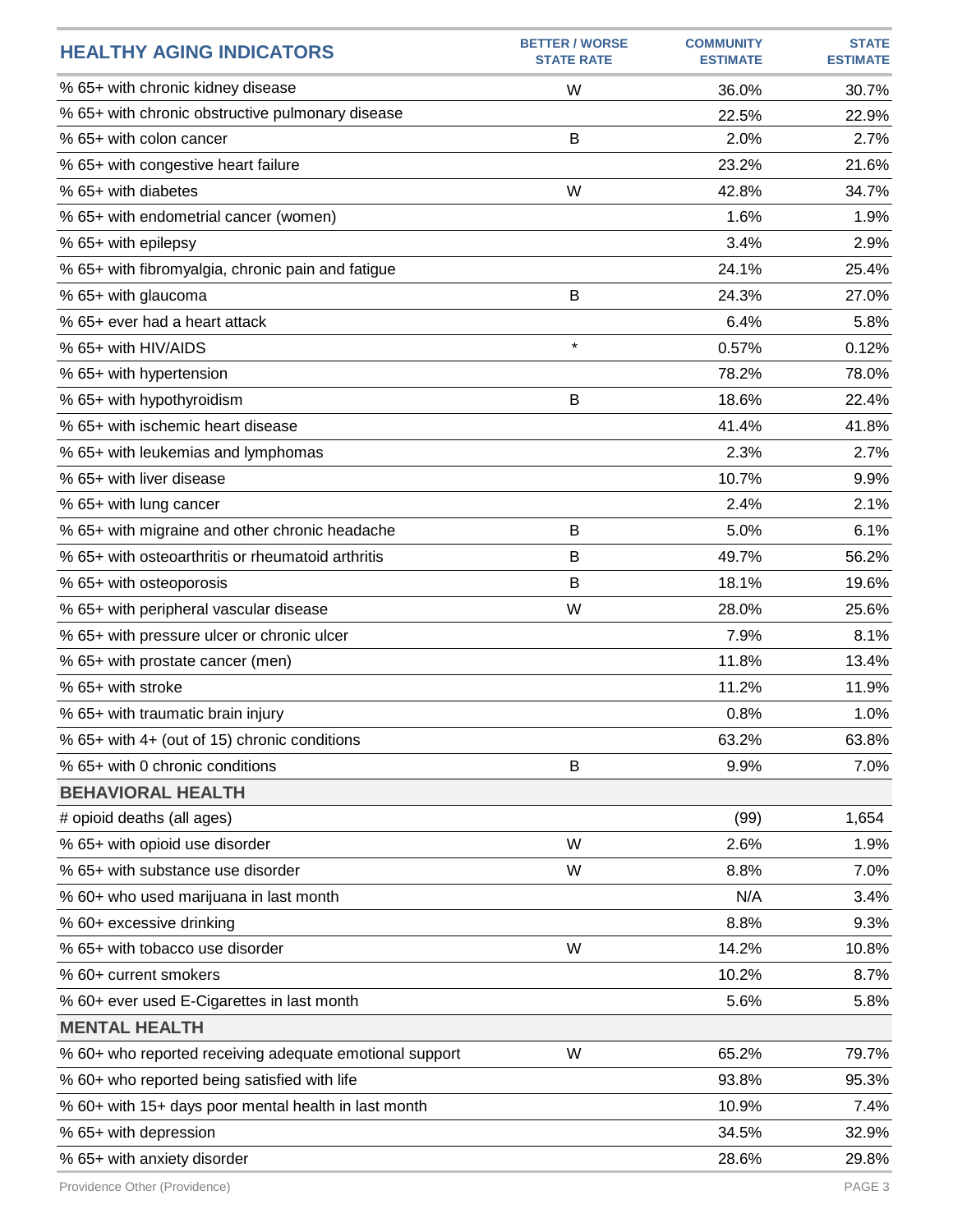| <b>HEALTHY AGING INDICATORS</b>                         | <b>BETTER / WORSE</b><br><b>STATE RATE</b> | <b>COMMUNITY</b><br><b>ESTIMATE</b> | <b>STATE</b><br><b>ESTIMATE</b> |
|---------------------------------------------------------|--------------------------------------------|-------------------------------------|---------------------------------|
| % 65+ with chronic kidney disease                       | W                                          | 36.0%                               | 30.7%                           |
| % 65+ with chronic obstructive pulmonary disease        |                                            | 22.5%                               | 22.9%                           |
| % 65+ with colon cancer                                 | B                                          | 2.0%                                | 2.7%                            |
| % 65+ with congestive heart failure                     |                                            | 23.2%                               | 21.6%                           |
| % 65+ with diabetes                                     | W                                          | 42.8%                               | 34.7%                           |
| % 65+ with endometrial cancer (women)                   |                                            | 1.6%                                | 1.9%                            |
| % 65+ with epilepsy                                     |                                            | 3.4%                                | 2.9%                            |
| % 65+ with fibromyalgia, chronic pain and fatigue       |                                            | 24.1%                               | 25.4%                           |
| % 65+ with glaucoma                                     | B                                          | 24.3%                               | 27.0%                           |
| % 65+ ever had a heart attack                           |                                            | 6.4%                                | 5.8%                            |
| % 65+ with HIV/AIDS                                     | $\star$                                    | 0.57%                               | 0.12%                           |
| % 65+ with hypertension                                 |                                            | 78.2%                               | 78.0%                           |
| % 65+ with hypothyroidism                               | B                                          | 18.6%                               | 22.4%                           |
| % 65+ with ischemic heart disease                       |                                            | 41.4%                               | 41.8%                           |
| % 65+ with leukemias and lymphomas                      |                                            | 2.3%                                | 2.7%                            |
| % 65+ with liver disease                                |                                            | 10.7%                               | 9.9%                            |
| % 65+ with lung cancer                                  |                                            | 2.4%                                | 2.1%                            |
| % 65+ with migraine and other chronic headache          | B                                          | 5.0%                                | 6.1%                            |
| % 65+ with osteoarthritis or rheumatoid arthritis       | B                                          | 49.7%                               | 56.2%                           |
| % 65+ with osteoporosis                                 | B                                          | 18.1%                               | 19.6%                           |
| % 65+ with peripheral vascular disease                  | W                                          | 28.0%                               | 25.6%                           |
| % 65+ with pressure ulcer or chronic ulcer              |                                            | 7.9%                                | 8.1%                            |
| % 65+ with prostate cancer (men)                        |                                            | 11.8%                               | 13.4%                           |
| % 65+ with stroke                                       |                                            | 11.2%                               | 11.9%                           |
| % 65+ with traumatic brain injury                       |                                            | 0.8%                                | 1.0%                            |
| % 65+ with 4+ (out of 15) chronic conditions            |                                            | 63.2%                               | 63.8%                           |
| % 65+ with 0 chronic conditions                         | B                                          | 9.9%                                | 7.0%                            |
| <b>BEHAVIORAL HEALTH</b>                                |                                            |                                     |                                 |
| # opioid deaths (all ages)                              |                                            | (99)                                | 1,654                           |
| % 65+ with opioid use disorder                          | W                                          | 2.6%                                | 1.9%                            |
| % 65+ with substance use disorder                       | W                                          | 8.8%                                | 7.0%                            |
| % 60+ who used marijuana in last month                  |                                            | N/A                                 | 3.4%                            |
| % 60+ excessive drinking                                |                                            | 8.8%                                | 9.3%                            |
| % 65+ with tobacco use disorder                         | W                                          | 14.2%                               | 10.8%                           |
| % 60+ current smokers                                   |                                            | 10.2%                               | 8.7%                            |
| % 60+ ever used E-Cigarettes in last month              |                                            | 5.6%                                | 5.8%                            |
| <b>MENTAL HEALTH</b>                                    |                                            |                                     |                                 |
| % 60+ who reported receiving adequate emotional support | W                                          | 65.2%                               | 79.7%                           |
| % 60+ who reported being satisfied with life            |                                            | 93.8%                               | 95.3%                           |
| % 60+ with 15+ days poor mental health in last month    |                                            | 10.9%                               | 7.4%                            |
| % 65+ with depression                                   |                                            | 34.5%                               | 32.9%                           |
| % 65+ with anxiety disorder                             |                                            | 28.6%                               | 29.8%                           |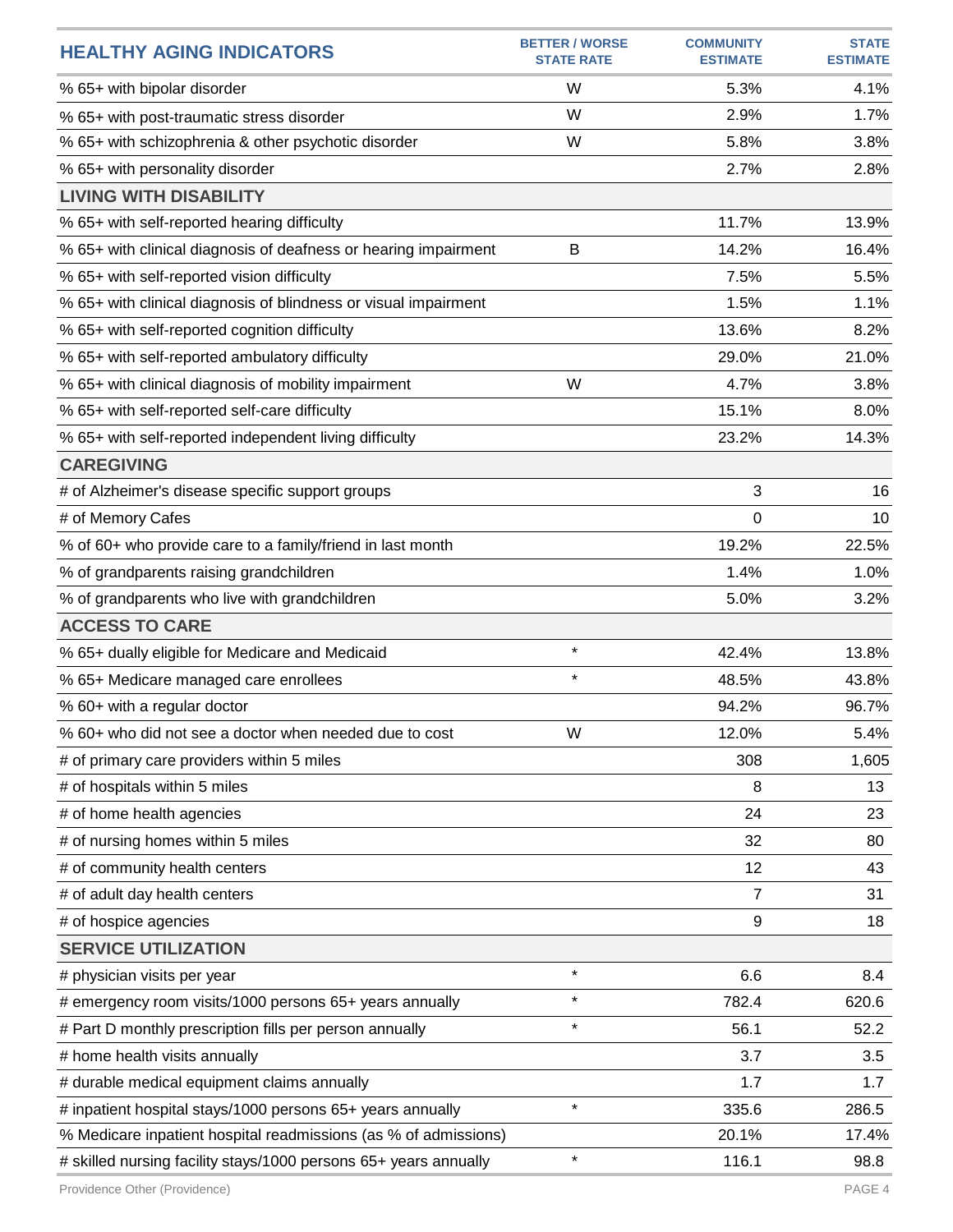| <b>HEALTHY AGING INDICATORS</b>                                  | <b>BETTER / WORSE</b><br><b>STATE RATE</b> | <b>COMMUNITY</b><br><b>ESTIMATE</b> | <b>STATE</b><br><b>ESTIMATE</b> |
|------------------------------------------------------------------|--------------------------------------------|-------------------------------------|---------------------------------|
| % 65+ with bipolar disorder                                      | W                                          | 5.3%                                | 4.1%                            |
| % 65+ with post-traumatic stress disorder                        | W                                          | 2.9%                                | 1.7%                            |
| % 65+ with schizophrenia & other psychotic disorder              | W                                          | 5.8%                                | 3.8%                            |
| % 65+ with personality disorder                                  |                                            | 2.7%                                | 2.8%                            |
| <b>LIVING WITH DISABILITY</b>                                    |                                            |                                     |                                 |
| % 65+ with self-reported hearing difficulty                      |                                            | 11.7%                               | 13.9%                           |
| % 65+ with clinical diagnosis of deafness or hearing impairment  | B                                          | 14.2%                               | 16.4%                           |
| % 65+ with self-reported vision difficulty                       |                                            | 7.5%                                | 5.5%                            |
| % 65+ with clinical diagnosis of blindness or visual impairment  |                                            | 1.5%                                | 1.1%                            |
| % 65+ with self-reported cognition difficulty                    |                                            | 13.6%                               | 8.2%                            |
| % 65+ with self-reported ambulatory difficulty                   |                                            | 29.0%                               | 21.0%                           |
| % 65+ with clinical diagnosis of mobility impairment             | W                                          | 4.7%                                | 3.8%                            |
| % 65+ with self-reported self-care difficulty                    |                                            | 15.1%                               | 8.0%                            |
| % 65+ with self-reported independent living difficulty           |                                            | 23.2%                               | 14.3%                           |
| <b>CAREGIVING</b>                                                |                                            |                                     |                                 |
| # of Alzheimer's disease specific support groups                 |                                            | 3                                   | 16                              |
| # of Memory Cafes                                                |                                            | 0                                   | 10                              |
| % of 60+ who provide care to a family/friend in last month       |                                            | 19.2%                               | 22.5%                           |
| % of grandparents raising grandchildren                          |                                            | 1.4%                                | 1.0%                            |
| % of grandparents who live with grandchildren                    |                                            | 5.0%                                | 3.2%                            |
| <b>ACCESS TO CARE</b>                                            |                                            |                                     |                                 |
| % 65+ dually eligible for Medicare and Medicaid                  | $\star$                                    | 42.4%                               | 13.8%                           |
| % 65+ Medicare managed care enrollees                            | $\star$                                    | 48.5%                               | 43.8%                           |
| % 60+ with a regular doctor                                      |                                            | 94.2%                               | 96.7%                           |
| % 60+ who did not see a doctor when needed due to cost           | W                                          | 12.0%                               | 5.4%                            |
| # of primary care providers within 5 miles                       |                                            | 308                                 | 1,605                           |
| # of hospitals within 5 miles                                    |                                            | 8                                   | 13                              |
| # of home health agencies                                        |                                            | 24                                  | 23                              |
| # of nursing homes within 5 miles                                |                                            | 32                                  | 80                              |
| # of community health centers                                    |                                            | 12                                  | 43                              |
| # of adult day health centers                                    |                                            | $\overline{7}$                      | 31                              |
| # of hospice agencies                                            |                                            | 9                                   | 18                              |
| <b>SERVICE UTILIZATION</b>                                       |                                            |                                     |                                 |
| # physician visits per year                                      | $\star$                                    | 6.6                                 | 8.4                             |
| # emergency room visits/1000 persons 65+ years annually          | $\star$                                    | 782.4                               | 620.6                           |
| # Part D monthly prescription fills per person annually          | $\star$                                    | 56.1                                | 52.2                            |
| # home health visits annually                                    |                                            | 3.7                                 | 3.5                             |
| # durable medical equipment claims annually                      |                                            | 1.7                                 | 1.7                             |
| # inpatient hospital stays/1000 persons 65+ years annually       | $\star$                                    | 335.6                               | 286.5                           |
| % Medicare inpatient hospital readmissions (as % of admissions)  |                                            | 20.1%                               | 17.4%                           |
| # skilled nursing facility stays/1000 persons 65+ years annually | $\star$                                    | 116.1                               | 98.8                            |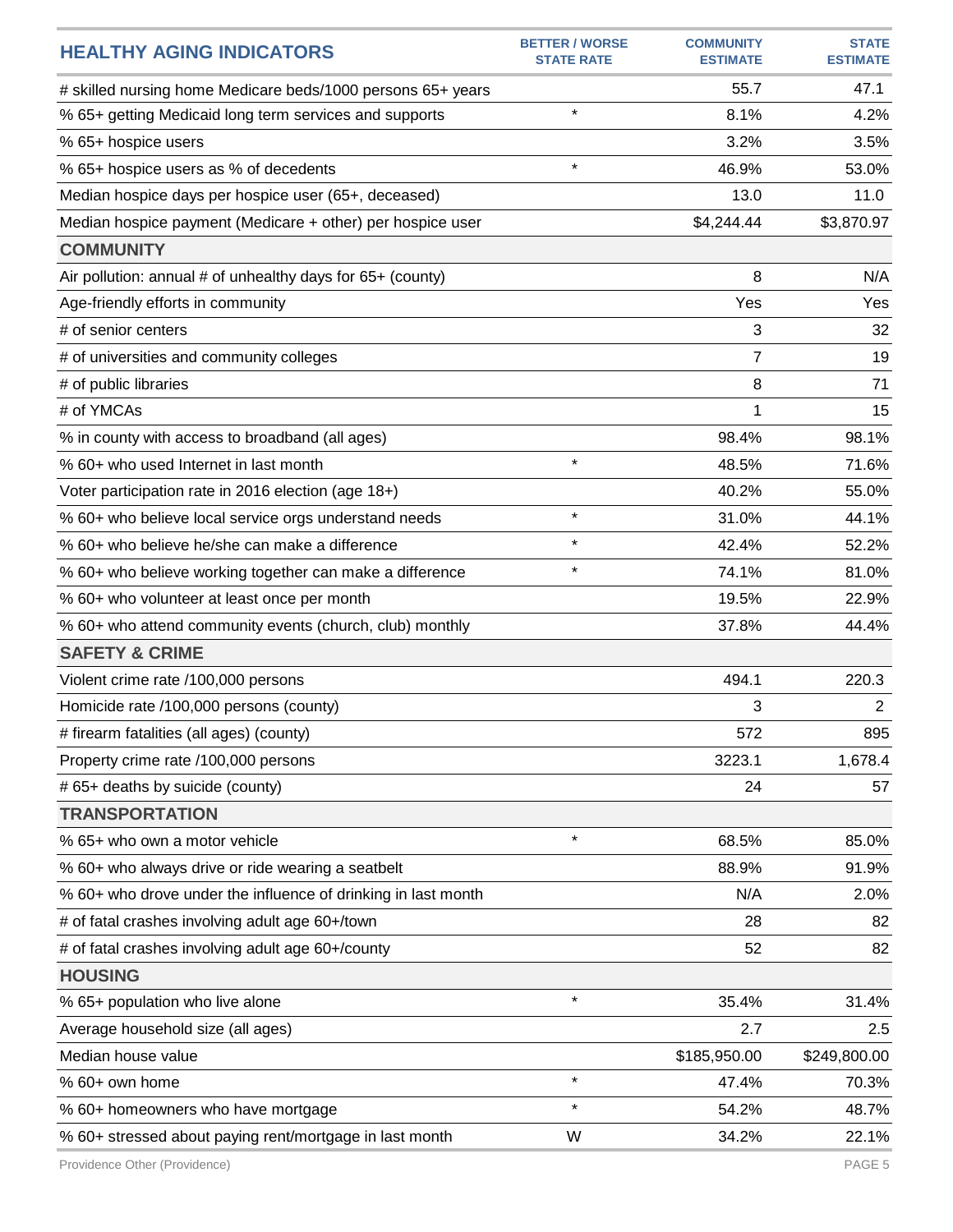| <b>HEALTHY AGING INDICATORS</b>                               | <b>BETTER / WORSE</b><br><b>STATE RATE</b> | <b>COMMUNITY</b><br><b>ESTIMATE</b> | <b>STATE</b><br><b>ESTIMATE</b> |
|---------------------------------------------------------------|--------------------------------------------|-------------------------------------|---------------------------------|
| # skilled nursing home Medicare beds/1000 persons 65+ years   |                                            | 55.7                                | 47.1                            |
| % 65+ getting Medicaid long term services and supports        | $\star$                                    | 8.1%                                | 4.2%                            |
| % 65+ hospice users                                           |                                            | 3.2%                                | 3.5%                            |
| % 65+ hospice users as % of decedents                         | $\star$                                    | 46.9%                               | 53.0%                           |
| Median hospice days per hospice user (65+, deceased)          |                                            | 13.0                                | 11.0                            |
| Median hospice payment (Medicare + other) per hospice user    |                                            | \$4,244.44                          | \$3,870.97                      |
| <b>COMMUNITY</b>                                              |                                            |                                     |                                 |
| Air pollution: annual # of unhealthy days for 65+ (county)    |                                            | 8                                   | N/A                             |
| Age-friendly efforts in community                             |                                            | Yes                                 | Yes                             |
| # of senior centers                                           |                                            | 3                                   | 32                              |
| # of universities and community colleges                      |                                            | 7                                   | 19                              |
| # of public libraries                                         |                                            | 8                                   | 71                              |
| # of YMCAs                                                    |                                            | 1                                   | 15                              |
| % in county with access to broadband (all ages)               |                                            | 98.4%                               | 98.1%                           |
| % 60+ who used Internet in last month                         | $\star$                                    | 48.5%                               | 71.6%                           |
| Voter participation rate in 2016 election (age 18+)           |                                            | 40.2%                               | 55.0%                           |
| % 60+ who believe local service orgs understand needs         | $\star$                                    | 31.0%                               | 44.1%                           |
| % 60+ who believe he/she can make a difference                | $\star$                                    | 42.4%                               | 52.2%                           |
| % 60+ who believe working together can make a difference      | $\star$                                    | 74.1%                               | 81.0%                           |
| % 60+ who volunteer at least once per month                   |                                            | 19.5%                               | 22.9%                           |
| % 60+ who attend community events (church, club) monthly      |                                            | 37.8%                               | 44.4%                           |
| <b>SAFETY &amp; CRIME</b>                                     |                                            |                                     |                                 |
| Violent crime rate /100,000 persons                           |                                            | 494.1                               | 220.3                           |
| Homicide rate /100,000 persons (county)                       |                                            | 3                                   | $\overline{2}$                  |
| # firearm fatalities (all ages) (county)                      |                                            | 572                                 | 895                             |
| Property crime rate /100,000 persons                          |                                            | 3223.1                              | 1,678.4                         |
| # 65+ deaths by suicide (county)                              |                                            | 24                                  | 57                              |
| <b>TRANSPORTATION</b>                                         |                                            |                                     |                                 |
| % 65+ who own a motor vehicle                                 | $\star$                                    | 68.5%                               | 85.0%                           |
| % 60+ who always drive or ride wearing a seatbelt             |                                            | 88.9%                               | 91.9%                           |
| % 60+ who drove under the influence of drinking in last month |                                            | N/A                                 | 2.0%                            |
| # of fatal crashes involving adult age 60+/town               |                                            | 28                                  | 82                              |
| # of fatal crashes involving adult age 60+/county             |                                            | 52                                  | 82                              |
| <b>HOUSING</b>                                                |                                            |                                     |                                 |
| % 65+ population who live alone                               | $\star$                                    | 35.4%                               | 31.4%                           |
| Average household size (all ages)                             |                                            | 2.7                                 | 2.5                             |
| Median house value                                            |                                            | \$185,950.00                        | \$249,800.00                    |
| % 60+ own home                                                | $\star$                                    | 47.4%                               | 70.3%                           |
| % 60+ homeowners who have mortgage                            | $\star$                                    | 54.2%                               | 48.7%                           |
| % 60+ stressed about paying rent/mortgage in last month       | W                                          | 34.2%                               | 22.1%                           |